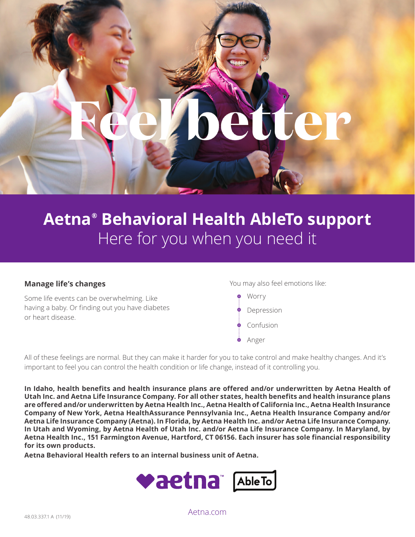

# **Aetna® Behavioral Health AbleTo support**  Here for you when you need it

#### **Manage life's changes**

Some life events can be overwhelming. Like having a baby. Or finding out you have diabetes or heart disease.

You may also feel emotions like:

Worry Depression Confusion Anger

All of these feelings are normal. But they can make it harder for you to take control and make healthy changes. And it's important to feel you can control the health condition or life change, instead of it controlling you.

**In Idaho, health benefits and health insurance plans are offered and/or underwritten by Aetna Health of Utah Inc. and Aetna Life Insurance Company. For all other states, health benefits and health insurance plans are offered and/or underwritten by Aetna Health Inc., Aetna Health of California Inc., Aetna Health Insurance Company of New York, Aetna HealthAssurance Pennsylvania Inc., Aetna Health Insurance Company and/or Aetna Life Insurance Company (Aetna). In Florida, by Aetna Health Inc. and/or Aetna Life Insurance Company. In Utah and Wyoming, by Aetna Health of Utah Inc. and/or Aetna Life Insurance Company. In Maryland, by Aetna Health Inc., 151 Farmington Avenue, Hartford, CT 06156. Each insurer has sole financial responsibility for its own products.** 

**Aetna Behavioral Health refers to an internal business unit of Aetna.** 



[Aetna.com](http://Aetna.com)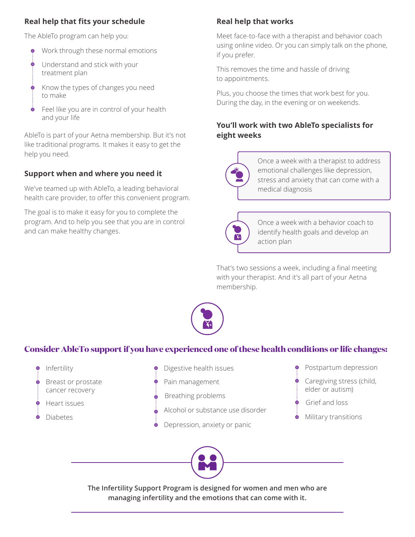#### **Real help that fits your schedule**

The AbleTo program can help you:

- Work through these normal emotions
- Understand and stick with your  $\dot{\bullet}$ treatment plan
- $\dot{\bullet}$  Know the types of changes you need to make
- Feel like you are in control of your health and your life

AbleTo is part of your Aetna membership. But it's not like traditional programs. It makes it easy to get the help you need.

#### **Support when and where you need it**

We've teamed up with AbleTo, a leading behavioral health care provider, to offer this convenient program.

The goal is to make it easy for you to complete the program. And to help you see that you are in control and can make healthy changes.

#### **Real help that works**

Meet face-to-face with a therapist and behavior coach using online video. Or you can simply talk on the phone, if you prefer.

This removes the time and hassle of driving to appointments.

Plus, you choose the times that work best for you. During the day, in the evening or on weekends.

#### **You'll work with two AbleTo specialists for eight weeks**



Once a week with a therapist to address emotional challenges like depression, stress and anxiety that can come with a medical diagnosis



Once a week with a behavior coach to identify health goals and develop an action plan

That's two sessions a week, including a final meeting with your therapist. And it's all part of your Aetna membership.



### **Consider AbleTo support if you have experienced one of these health conditions or life changes:**



Ó

Ó

Breast or prostate cancer recovery

- Heart issues
- Diabetes
- Digestive health issues
- Pain management
- Breathing problems  $\dot{\bullet}$ 
	- Alcohol or substance use disorder
- Depression, anxiety or panic
- Postpartum depression
	- Caregiving stress (child, elder or autism)
	- Grief and loss
	- Military transitions



**The Infertility Support Program is designed for women and men who are managing infertility and the emotions that can come with it.**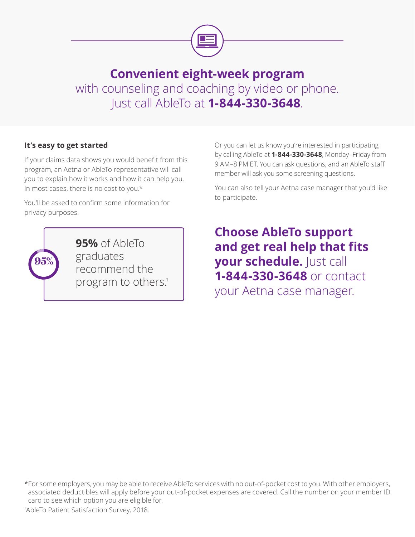

## **Convenient eight-week program**  with counseling and coaching by video or phone. Just call AbleTo at **1-844-330-3648**.

#### **It's easy to get started**

If your claims data shows you would benefit from this program, an Aetna or AbleTo representative will call you to explain how it works and how it can help you. In most cases, there is no cost to you.\*

You'll be asked to confirm some information for privacy purposes.



**95%** of AbleTo graduates recommend the program to others.<sup>1</sup>

Or you can let us know you're interested in participating by calling AbleTo at **1-844-330-3648**, Monday–Friday from 9 AM–8 PM ET. You can ask questions, and an AbleTo staff member will ask you some screening questions.

You can also tell your Aetna case manager that you'd like to participate.

**Choose AbleTo support and get real help that fits your schedule.** Just call **1-844-330-3648** or contact your Aetna case manager.

\*For some employers, you may be able to receive AbleTo services with no out-of-pocket cost to you. With other employers, associated deductibles will apply before your out-of-pocket expenses are covered. Call the number on your member ID card to see which option you are eligible for.

1 AbleTo Patient Satisfaction Survey, 2018.